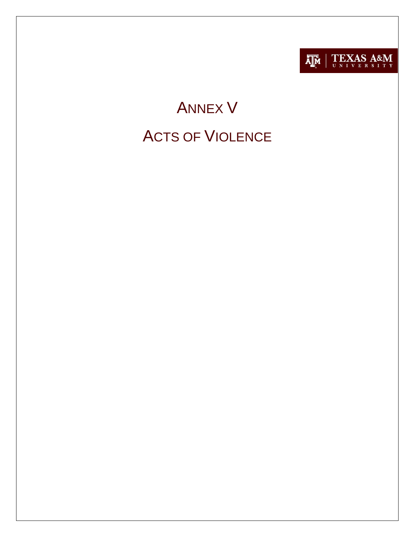

# ANNEX V ACTS OF VIOLENCE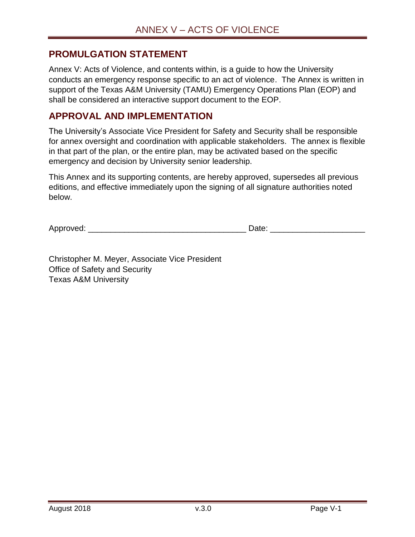#### <span id="page-1-0"></span>**PROMULGATION STATEMENT**

Annex V: Acts of Violence, and contents within, is a guide to how the University conducts an emergency response specific to an act of violence. The Annex is written in support of the Texas A&M University (TAMU) Emergency Operations Plan (EOP) and shall be considered an interactive support document to the EOP.

#### <span id="page-1-1"></span>**APPROVAL AND IMPLEMENTATION**

The University's Associate Vice President for Safety and Security shall be responsible for annex oversight and coordination with applicable stakeholders. The annex is flexible in that part of the plan, or the entire plan, may be activated based on the specific emergency and decision by University senior leadership.

This Annex and its supporting contents, are hereby approved, supersedes all previous editions, and effective immediately upon the signing of all signature authorities noted below.

Approved:  $\Box$ 

Christopher M. Meyer, Associate Vice President Office of Safety and Security Texas A&M University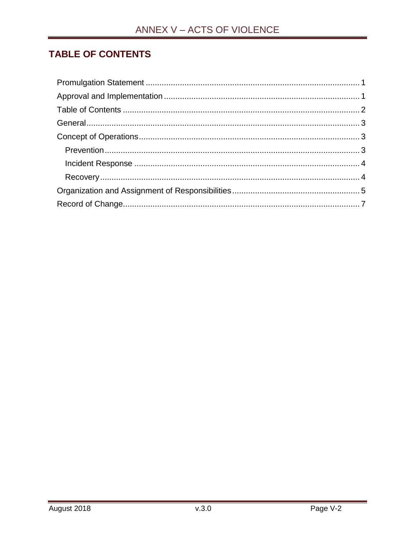## <span id="page-2-0"></span>**TABLE OF CONTENTS**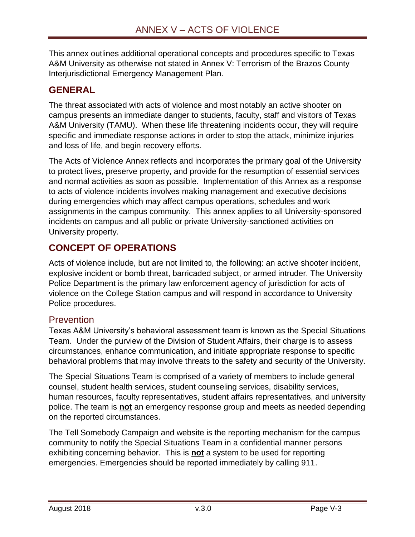This annex outlines additional operational concepts and procedures specific to Texas A&M University as otherwise not stated in Annex V: Terrorism of the Brazos County Interjurisdictional Emergency Management Plan.

## <span id="page-3-0"></span>**GENERAL**

The threat associated with acts of violence and most notably an active shooter on campus presents an immediate danger to students, faculty, staff and visitors of Texas A&M University (TAMU). When these life threatening incidents occur, they will require specific and immediate response actions in order to stop the attack, minimize injuries and loss of life, and begin recovery efforts.

The Acts of Violence Annex reflects and incorporates the primary goal of the University to protect lives, preserve property, and provide for the resumption of essential services and normal activities as soon as possible. Implementation of this Annex as a response to acts of violence incidents involves making management and executive decisions during emergencies which may affect campus operations, schedules and work assignments in the campus community. This annex applies to all University-sponsored incidents on campus and all public or private University-sanctioned activities on University property.

## <span id="page-3-1"></span>**CONCEPT OF OPERATIONS**

Acts of violence include, but are not limited to, the following: an active shooter incident, explosive incident or bomb threat, barricaded subject, or armed intruder. The University Police Department is the primary law enforcement agency of jurisdiction for acts of violence on the College Station campus and will respond in accordance to University Police procedures.

#### <span id="page-3-2"></span>Prevention

Texas A&M University's behavioral assessment team is known as the Special Situations Team. Under the purview of the Division of Student Affairs, their charge is to assess circumstances, enhance communication, and initiate appropriate response to specific behavioral problems that may involve threats to the safety and security of the University.

The Special Situations Team is comprised of a variety of members to include general counsel, student health services, student counseling services, disability services, human resources, faculty representatives, student affairs representatives, and university police. The team is **not** an emergency response group and meets as needed depending on the reported circumstances.

The Tell Somebody Campaign and website is the reporting mechanism for the campus community to notify the Special Situations Team in a confidential manner persons exhibiting concerning behavior. This is **not** a system to be used for reporting emergencies. Emergencies should be reported immediately by calling 911.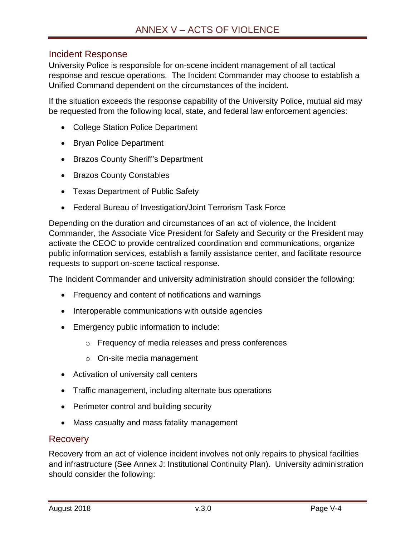#### <span id="page-4-0"></span>Incident Response

University Police is responsible for on-scene incident management of all tactical response and rescue operations. The Incident Commander may choose to establish a Unified Command dependent on the circumstances of the incident.

If the situation exceeds the response capability of the University Police, mutual aid may be requested from the following local, state, and federal law enforcement agencies:

- College Station Police Department
- Bryan Police Department
- Brazos County Sheriff's Department
- Brazos County Constables
- Texas Department of Public Safety
- Federal Bureau of Investigation/Joint Terrorism Task Force

Depending on the duration and circumstances of an act of violence, the Incident Commander, the Associate Vice President for Safety and Security or the President may activate the CEOC to provide centralized coordination and communications, organize public information services, establish a family assistance center, and facilitate resource requests to support on-scene tactical response.

The Incident Commander and university administration should consider the following:

- Frequency and content of notifications and warnings
- Interoperable communications with outside agencies
- Emergency public information to include:
	- o Frequency of media releases and press conferences
	- o On-site media management
- Activation of university call centers
- Traffic management, including alternate bus operations
- Perimeter control and building security
- Mass casualty and mass fatality management

#### <span id="page-4-1"></span>Recovery

Recovery from an act of violence incident involves not only repairs to physical facilities and infrastructure (See Annex J: Institutional Continuity Plan). University administration should consider the following: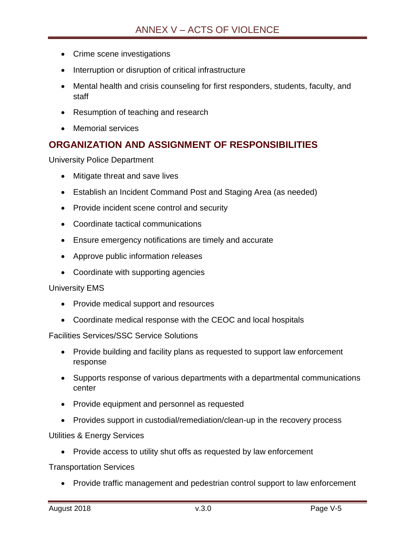- Crime scene investigations
- Interruption or disruption of critical infrastructure
- Mental health and crisis counseling for first responders, students, faculty, and staff
- Resumption of teaching and research
- Memorial services

### <span id="page-5-0"></span>**ORGANIZATION AND ASSIGNMENT OF RESPONSIBILITIES**

University Police Department

- Mitigate threat and save lives
- Establish an Incident Command Post and Staging Area (as needed)
- Provide incident scene control and security
- Coordinate tactical communications
- Ensure emergency notifications are timely and accurate
- Approve public information releases
- Coordinate with supporting agencies

University EMS

- Provide medical support and resources
- Coordinate medical response with the CEOC and local hospitals

Facilities Services/SSC Service Solutions

- Provide building and facility plans as requested to support law enforcement response
- Supports response of various departments with a departmental communications center
- Provide equipment and personnel as requested
- Provides support in custodial/remediation/clean-up in the recovery process

Utilities & Energy Services

• Provide access to utility shut offs as requested by law enforcement

Transportation Services

Provide traffic management and pedestrian control support to law enforcement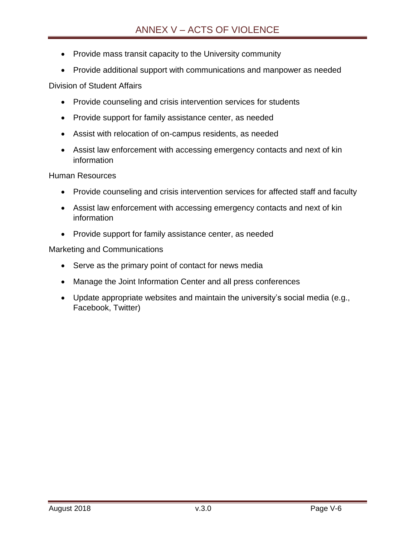- Provide mass transit capacity to the University community
- Provide additional support with communications and manpower as needed

Division of Student Affairs

- Provide counseling and crisis intervention services for students
- Provide support for family assistance center, as needed
- Assist with relocation of on-campus residents, as needed
- Assist law enforcement with accessing emergency contacts and next of kin information

Human Resources

- Provide counseling and crisis intervention services for affected staff and faculty
- Assist law enforcement with accessing emergency contacts and next of kin information
- Provide support for family assistance center, as needed

Marketing and Communications

- Serve as the primary point of contact for news media
- Manage the Joint Information Center and all press conferences
- Update appropriate websites and maintain the university's social media (e.g., Facebook, Twitter)